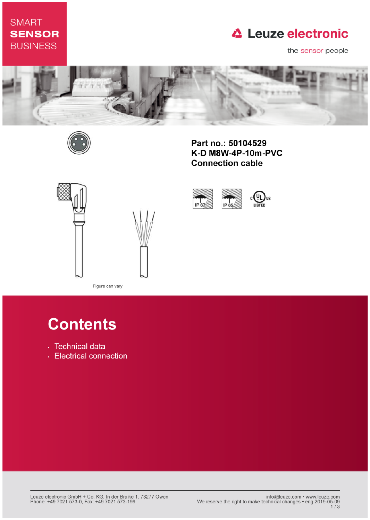# **SMART SENSOR BUSINESS**

# **△ Leuze electronic**

the sensor people



IP 67



Part no.: 50104529 K-D M8W-4P-10m-PVC **Connection cable** 

IP 65





Figure can vary

# **Contents**

- · Technical data
- Electrical connection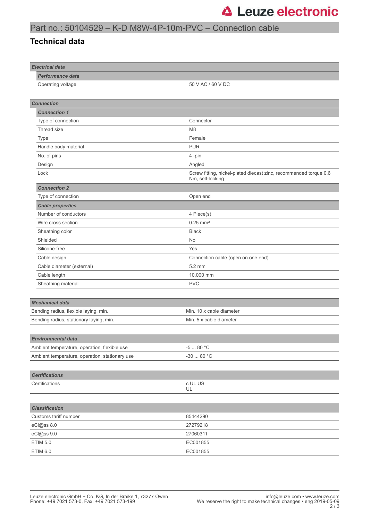## Part no.: 50104529 – K-D M8W-4P-10m-PVC – Connection cable

#### **Technical data**

| <b>Electrical data</b>                         |                                                                                       |
|------------------------------------------------|---------------------------------------------------------------------------------------|
| Performance data                               |                                                                                       |
| Operating voltage                              | 50 V AC / 60 V DC                                                                     |
|                                                |                                                                                       |
| <b>Connection</b>                              |                                                                                       |
| <b>Connection 1</b>                            |                                                                                       |
| Type of connection                             | Connector                                                                             |
| Thread size                                    | M <sub>8</sub>                                                                        |
| Type                                           | Female                                                                                |
| Handle body material                           | <b>PUR</b>                                                                            |
| No. of pins                                    | 4-pin                                                                                 |
| Design                                         | Angled                                                                                |
| Lock                                           | Screw fitting, nickel-plated diecast zinc, recommended torque 0.6<br>Nm, self-locking |
| <b>Connection 2</b>                            |                                                                                       |
| Type of connection                             | Open end                                                                              |
| <b>Cable properties</b>                        |                                                                                       |
| Number of conductors                           | 4 Piece(s)                                                                            |
| Wire cross section                             | $0.25$ mm <sup>2</sup>                                                                |
| Sheathing color                                | <b>Black</b>                                                                          |
| Shielded                                       | No                                                                                    |
| Silicone-free                                  | Yes                                                                                   |
| Cable design                                   | Connection cable (open on one end)                                                    |
| Cable diameter (external)                      | $5.2 \text{ mm}$                                                                      |
| Cable length                                   | 10,000 mm                                                                             |
| Sheathing material                             | <b>PVC</b>                                                                            |
|                                                |                                                                                       |
| <b>Mechanical data</b>                         |                                                                                       |
| Bending radius, flexible laying, min.          | Min. 10 x cable diameter                                                              |
| Bending radius, stationary laying, min.        | Min. 5 x cable diameter                                                               |
|                                                |                                                                                       |
| Environmental data                             |                                                                                       |
| Ambient temperature, operation, flexible use   | -5 $\ldots$ 80 °C                                                                     |
| Ambient temperature, operation, stationary use | -30 $\ldots$ 80 $^{\circ} \mathrm{C}$                                                 |
|                                                |                                                                                       |
| <b>Certifications</b>                          |                                                                                       |
| Certifications                                 | c UL US                                                                               |
|                                                | UL                                                                                    |
|                                                |                                                                                       |
| <b>Classification</b>                          |                                                                                       |
| Customs tariff number                          | 85444290                                                                              |
| eCl@ss 8.0                                     | 27279218                                                                              |
| eCl@ss 9.0                                     | 27060311                                                                              |
| <b>ETIM 5.0</b>                                | EC001855                                                                              |
| ETIM 6.0                                       | EC001855                                                                              |